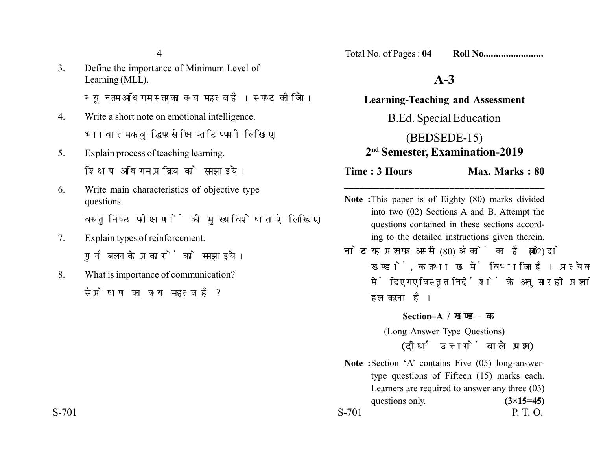4

3. Define the importance of Minimum Level of Learning (MLL).

न्यनतम अधिगम स्तर का क्या महत्व है। स्पष्ट कीजिये।

- 4. Write a short note on emotional intelligence. भावात्मक बद्धि पर संक्षिप्त टिप्पणी लिखिए।
- 5. Explain process of teaching learning. शिक्षण अधिगम प्रक्रिया को समझाइये।
- 6. Write main characteristics of objective type questions.

वस्तुनिष्ठ परीक्षणों की मुख्य विशेषताएं लिखिए।

- 7. Explain types of reinforcement. पर्नबलन के प्रकारों को समझाइये।
- 8. What is importance of communication? संप्रेषण का क्या महत्व है?

Total No. of Pages : **04 Roll No........................**

## **A-3**

**Learning-Teaching and Assessment** B.Ed. Special Education (BEDSEDE-15) **2nd Semester, Examination-2019**

**Time : 3 Hours** Max. Marks : 80

**Note :**This paper is of Eighty (80) marks divided into two (02) Sections A and B. Attempt the questions contained in these sections according to the detailed instructions given therein.

**\_\_\_\_\_\_\_\_\_\_\_\_\_\_\_\_\_\_\_\_\_\_\_\_\_\_\_\_\_\_\_\_\_\_\_\_\_\_\_\_**

**नोट:** यह प्रश्नपत्र अस्सी (80) अंकों का है जो दो (02) खण्डों, क तथा ख में विभाजित है। प्रत्येक खण्ड में दिए गए विस्तृत निर्देशों के अनुसार ही प्रश्नों को हल करना है।

**Section–A /** 

(Long Answer Type Questions)

## *(दीर्घ उत्तरों वाले प्रश्न)*

**Note :**Section 'A' contains Five (05) long-answertype questions of Fifteen (15) marks each. Learners are required to answer any three (03) questions only.  $(3\times15=45)$  $S-701$  P. T. O.